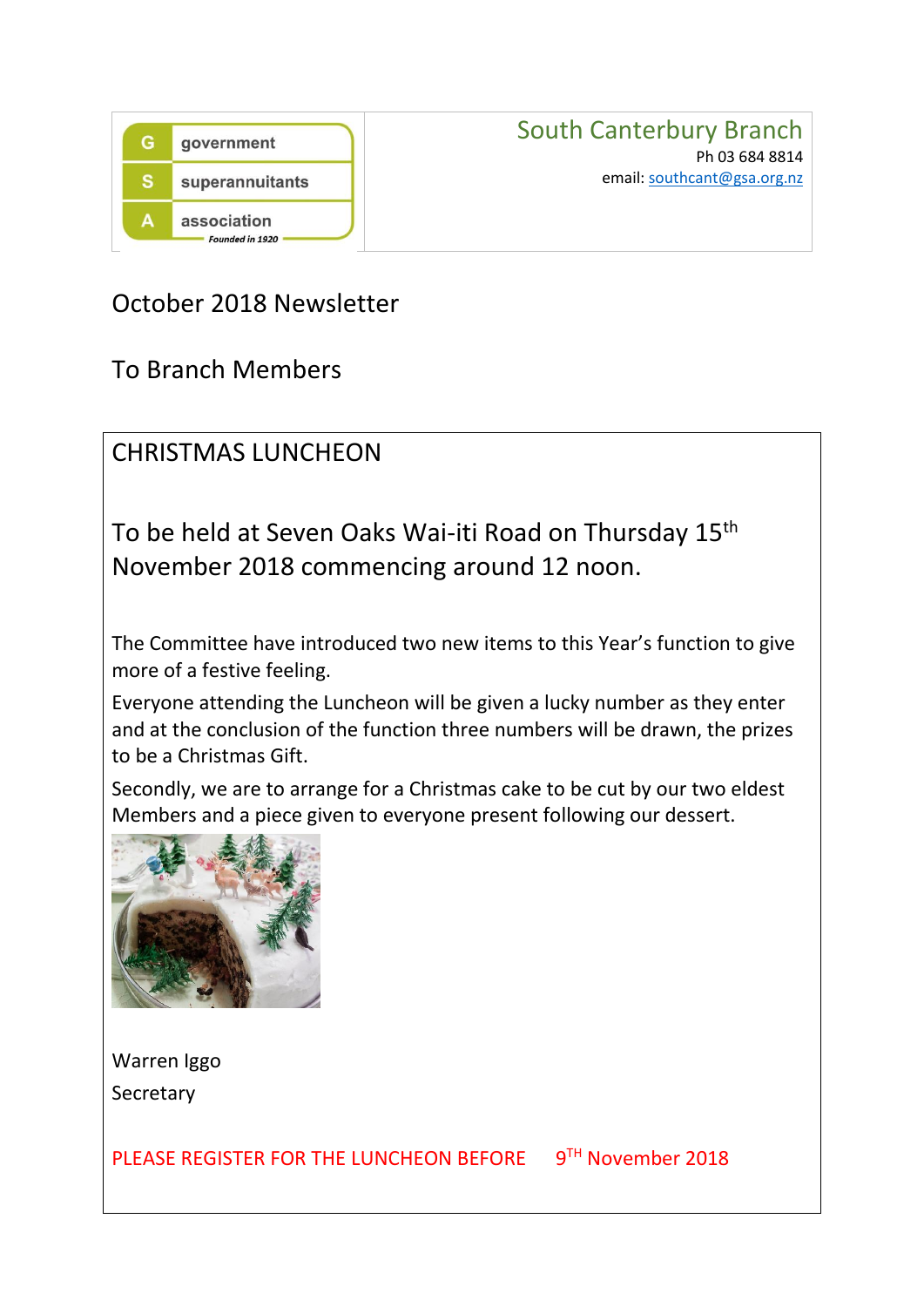

## October 2018 Newsletter

To Branch Members

CHRISTMAS LUNCHEON

To be held at Seven Oaks Wai-iti Road on Thursday 15<sup>th</sup> November 2018 commencing around 12 noon.

The Committee have introduced two new items to this Year's function to give more of a festive feeling.

Everyone attending the Luncheon will be given a lucky number as they enter and at the conclusion of the function three numbers will be drawn, the prizes to be a Christmas Gift.

Secondly, we are to arrange for a Christmas cake to be cut by our two eldest Members and a piece given to everyone present following our dessert.



Warren Iggo **Secretary** 

PLEASE REGISTER FOR THE LUNCHEON BEFORE 9TH November 2018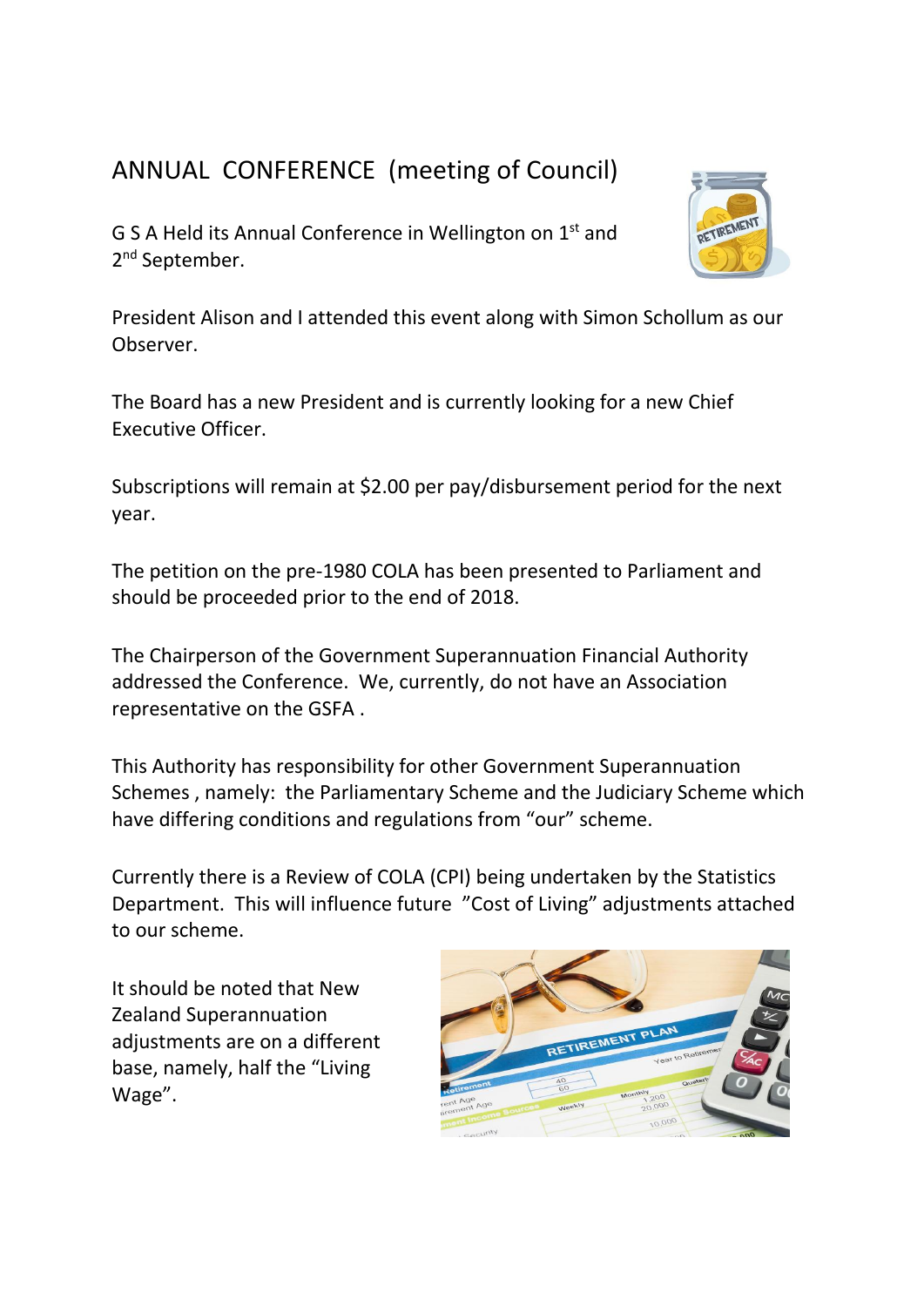## ANNUAL CONFERENCE (meeting of Council)

G S A Held its Annual Conference in Wellington on 1st and 2<sup>nd</sup> September.



President Alison and I attended this event along with Simon Schollum as our Observer.

The Board has a new President and is currently looking for a new Chief Executive Officer.

Subscriptions will remain at \$2.00 per pay/disbursement period for the next year.

The petition on the pre-1980 COLA has been presented to Parliament and should be proceeded prior to the end of 2018.

The Chairperson of the Government Superannuation Financial Authority addressed the Conference. We, currently, do not have an Association representative on the GSFA .

This Authority has responsibility for other Government Superannuation Schemes , namely: the Parliamentary Scheme and the Judiciary Scheme which have differing conditions and regulations from "our" scheme.

Currently there is a Review of COLA (CPI) being undertaken by the Statistics Department. This will influence future "Cost of Living" adjustments attached to our scheme.

It should be noted that New Zealand Superannuation adjustments are on a different base, namely, half the "Living Wage".

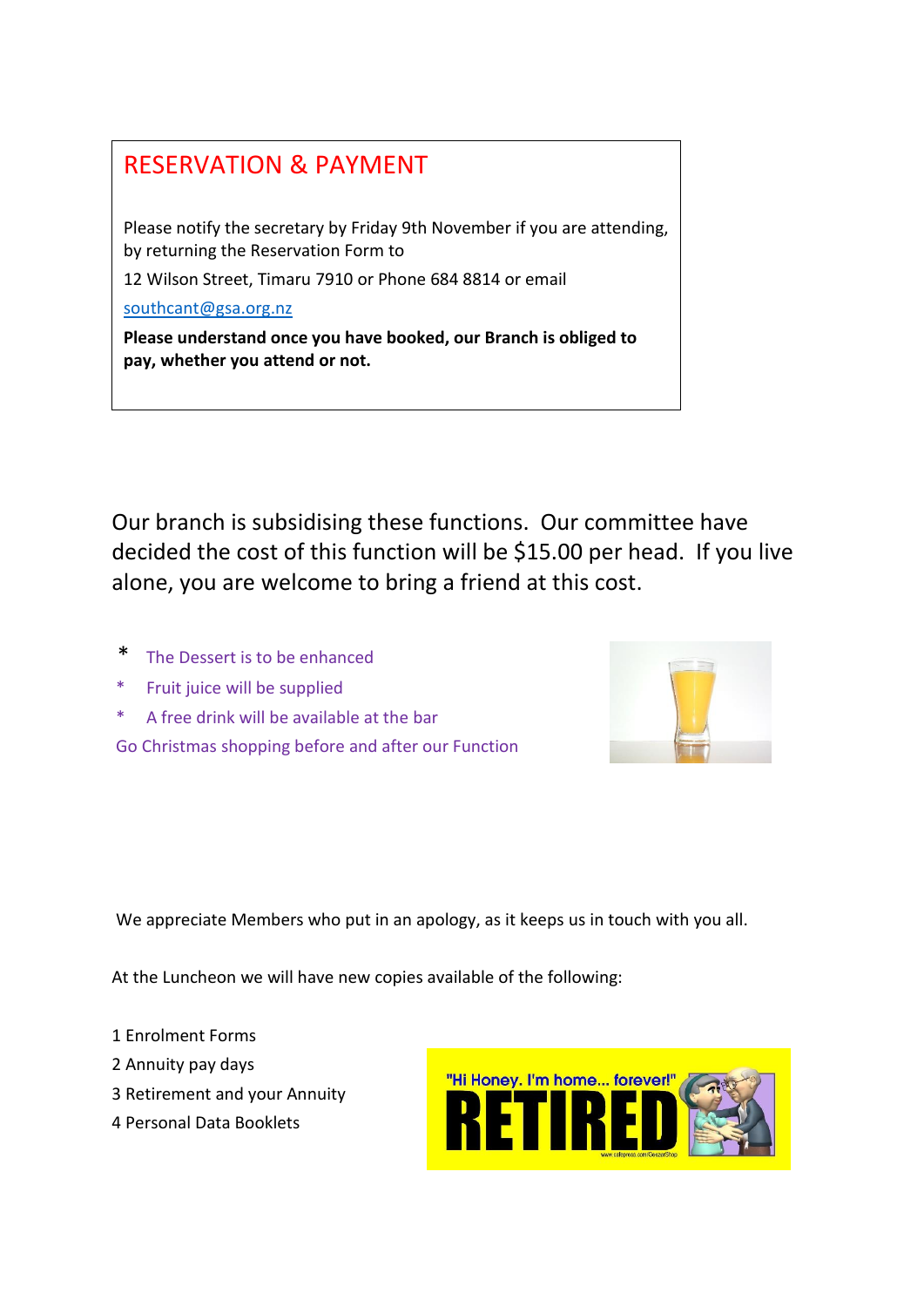## RESERVATION & PAYMENT

Please notify the secretary by Friday 9th November if you are attending, by returning the Reservation Form to

12 Wilson Street, Timaru 7910 or Phone 684 8814 or email

[southcant@gsa.org.nz](mailto:southcant@gsa.org.nz)

**Please understand once you have booked, our Branch is obliged to pay, whether you attend or not.**

Our branch is subsidising these functions. Our committee have decided the cost of this function will be \$15.00 per head. If you live alone, you are welcome to bring a friend at this cost.

- The Dessert is to be enhanced
- \* Fruit juice will be supplied
- \* A free drink will be available at the bar

Go Christmas shopping before and after our Function



We appreciate Members who put in an apology, as it keeps us in touch with you all.

At the Luncheon we will have new copies available of the following:

- 1 Enrolment Forms
- 2 Annuity pay days
- 3 Retirement and your Annuity
- 4 Personal Data Booklets